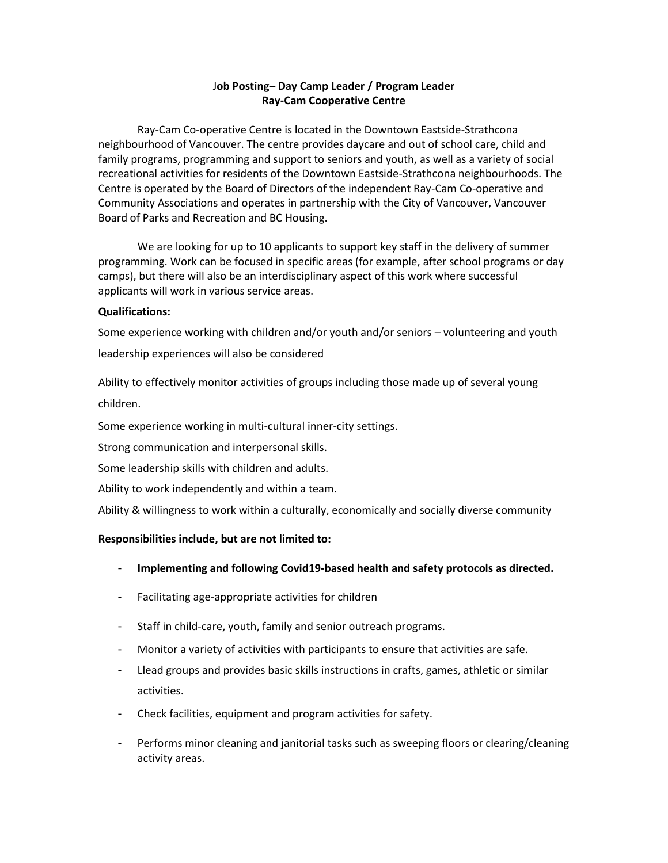# J**ob Posting– Day Camp Leader / Program Leader Ray-Cam Cooperative Centre**

Ray-Cam Co-operative Centre is located in the Downtown Eastside-Strathcona neighbourhood of Vancouver. The centre provides daycare and out of school care, child and family programs, programming and support to seniors and youth, as well as a variety of social recreational activities for residents of the Downtown Eastside-Strathcona neighbourhoods. The Centre is operated by the Board of Directors of the independent Ray-Cam Co-operative and Community Associations and operates in partnership with the City of Vancouver, Vancouver Board of Parks and Recreation and BC Housing.

We are looking for up to 10 applicants to support key staff in the delivery of summer programming. Work can be focused in specific areas (for example, after school programs or day camps), but there will also be an interdisciplinary aspect of this work where successful applicants will work in various service areas.

### **Qualifications:**

Some experience working with children and/or youth and/or seniors – volunteering and youth leadership experiences will also be considered

Ability to effectively monitor activities of groups including those made up of several young children.

Some experience working in multi-cultural inner-city settings.

Strong communication and interpersonal skills.

Some leadership skills with children and adults.

Ability to work independently and within a team.

Ability & willingness to work within a culturally, economically and socially diverse community

### **Responsibilities include, but are not limited to:**

- **Implementing and following Covid19-based health and safety protocols as directed.**
- Facilitating age-appropriate activities for children
- Staff in child-care, youth, family and senior outreach programs.
- Monitor a variety of activities with participants to ensure that activities are safe.
- Llead groups and provides basic skills instructions in crafts, games, athletic or similar activities.
- Check facilities, equipment and program activities for safety.
- Performs minor cleaning and janitorial tasks such as sweeping floors or clearing/cleaning activity areas.